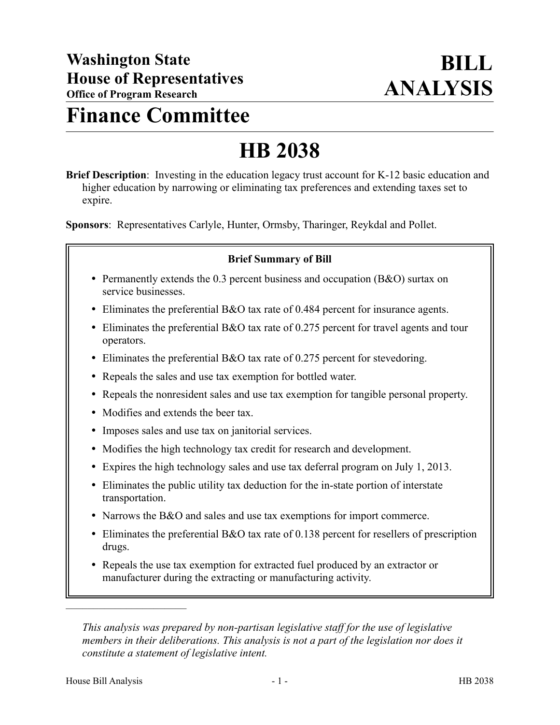# **Finance Committee**

# **HB 2038**

**Brief Description**: Investing in the education legacy trust account for K-12 basic education and higher education by narrowing or eliminating tax preferences and extending taxes set to expire.

**Sponsors**: Representatives Carlyle, Hunter, Ormsby, Tharinger, Reykdal and Pollet.

# **Brief Summary of Bill**

- Permanently extends the 0.3 percent business and occupation (B&O) surtax on service businesses.
- Eliminates the preferential B&O tax rate of 0.484 percent for insurance agents.
- Eliminates the preferential B&O tax rate of 0.275 percent for travel agents and tour operators.
- Eliminates the preferential B&O tax rate of 0.275 percent for stevedoring.
- Repeals the sales and use tax exemption for bottled water.
- Repeals the nonresident sales and use tax exemption for tangible personal property.
- Modifies and extends the beer tax.
- Imposes sales and use tax on janitorial services.
- Modifies the high technology tax credit for research and development.
- Expires the high technology sales and use tax deferral program on July 1, 2013.
- Eliminates the public utility tax deduction for the in-state portion of interstate transportation.
- Narrows the B&O and sales and use tax exemptions for import commerce.
- Eliminates the preferential B&O tax rate of 0.138 percent for resellers of prescription drugs.
- Repeals the use tax exemption for extracted fuel produced by an extractor or manufacturer during the extracting or manufacturing activity.

*This analysis was prepared by non-partisan legislative staff for the use of legislative members in their deliberations. This analysis is not a part of the legislation nor does it constitute a statement of legislative intent.*

––––––––––––––––––––––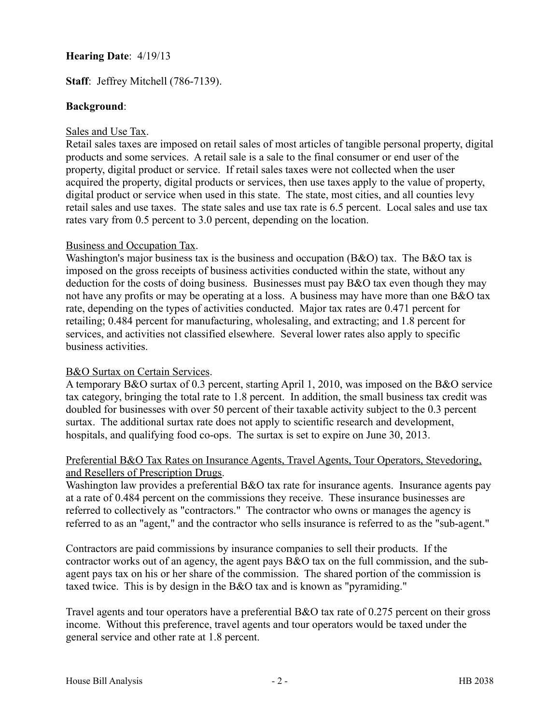# **Hearing Date**: 4/19/13

# **Staff**: Jeffrey Mitchell (786-7139).

#### **Background**:

#### Sales and Use Tax.

Retail sales taxes are imposed on retail sales of most articles of tangible personal property, digital products and some services. A retail sale is a sale to the final consumer or end user of the property, digital product or service. If retail sales taxes were not collected when the user acquired the property, digital products or services, then use taxes apply to the value of property, digital product or service when used in this state. The state, most cities, and all counties levy retail sales and use taxes. The state sales and use tax rate is 6.5 percent. Local sales and use tax rates vary from 0.5 percent to 3.0 percent, depending on the location.

#### Business and Occupation Tax.

Washington's major business tax is the business and occupation  $(B&O)$  tax. The B&O tax is imposed on the gross receipts of business activities conducted within the state, without any deduction for the costs of doing business. Businesses must pay B&O tax even though they may not have any profits or may be operating at a loss. A business may have more than one B&O tax rate, depending on the types of activities conducted. Major tax rates are 0.471 percent for retailing; 0.484 percent for manufacturing, wholesaling, and extracting; and 1.8 percent for services, and activities not classified elsewhere. Several lower rates also apply to specific business activities.

#### B&O Surtax on Certain Services.

A temporary B&O surtax of 0.3 percent, starting April 1, 2010, was imposed on the B&O service tax category, bringing the total rate to 1.8 percent. In addition, the small business tax credit was doubled for businesses with over 50 percent of their taxable activity subject to the 0.3 percent surtax. The additional surtax rate does not apply to scientific research and development, hospitals, and qualifying food co-ops. The surtax is set to expire on June 30, 2013.

#### Preferential B&O Tax Rates on Insurance Agents, Travel Agents, Tour Operators, Stevedoring, and Resellers of Prescription Drugs.

Washington law provides a preferential B&O tax rate for insurance agents. Insurance agents pay at a rate of 0.484 percent on the commissions they receive. These insurance businesses are referred to collectively as "contractors." The contractor who owns or manages the agency is referred to as an "agent," and the contractor who sells insurance is referred to as the "sub-agent."

Contractors are paid commissions by insurance companies to sell their products. If the contractor works out of an agency, the agent pays B&O tax on the full commission, and the subagent pays tax on his or her share of the commission. The shared portion of the commission is taxed twice. This is by design in the B&O tax and is known as "pyramiding."

Travel agents and tour operators have a preferential B&O tax rate of 0.275 percent on their gross income. Without this preference, travel agents and tour operators would be taxed under the general service and other rate at 1.8 percent.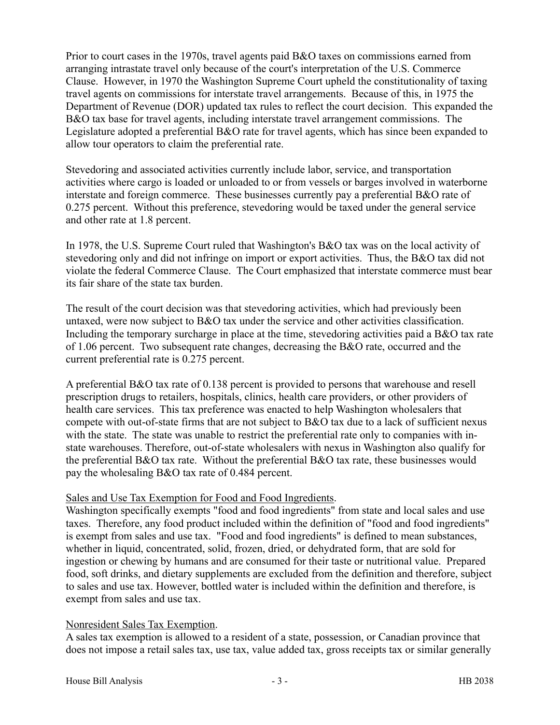Prior to court cases in the 1970s, travel agents paid B&O taxes on commissions earned from arranging intrastate travel only because of the court's interpretation of the U.S. Commerce Clause. However, in 1970 the Washington Supreme Court upheld the constitutionality of taxing travel agents on commissions for interstate travel arrangements. Because of this, in 1975 the Department of Revenue (DOR) updated tax rules to reflect the court decision. This expanded the B&O tax base for travel agents, including interstate travel arrangement commissions. The Legislature adopted a preferential B&O rate for travel agents, which has since been expanded to allow tour operators to claim the preferential rate.

Stevedoring and associated activities currently include labor, service, and transportation activities where cargo is loaded or unloaded to or from vessels or barges involved in waterborne interstate and foreign commerce. These businesses currently pay a preferential B&O rate of 0.275 percent. Without this preference, stevedoring would be taxed under the general service and other rate at 1.8 percent.

In 1978, the U.S. Supreme Court ruled that Washington's B&O tax was on the local activity of stevedoring only and did not infringe on import or export activities. Thus, the B&O tax did not violate the federal Commerce Clause. The Court emphasized that interstate commerce must bear its fair share of the state tax burden.

The result of the court decision was that stevedoring activities, which had previously been untaxed, were now subject to B&O tax under the service and other activities classification. Including the temporary surcharge in place at the time, stevedoring activities paid a B&O tax rate of 1.06 percent. Two subsequent rate changes, decreasing the B&O rate, occurred and the current preferential rate is 0.275 percent.

A preferential B&O tax rate of 0.138 percent is provided to persons that warehouse and resell prescription drugs to retailers, hospitals, clinics, health care providers, or other providers of health care services. This tax preference was enacted to help Washington wholesalers that compete with out-of-state firms that are not subject to B&O tax due to a lack of sufficient nexus with the state. The state was unable to restrict the preferential rate only to companies with instate warehouses. Therefore, out-of-state wholesalers with nexus in Washington also qualify for the preferential B&O tax rate. Without the preferential B&O tax rate, these businesses would pay the wholesaling B&O tax rate of 0.484 percent.

# Sales and Use Tax Exemption for Food and Food Ingredients.

Washington specifically exempts "food and food ingredients" from state and local sales and use taxes. Therefore, any food product included within the definition of "food and food ingredients" is exempt from sales and use tax. "Food and food ingredients" is defined to mean substances, whether in liquid, concentrated, solid, frozen, dried, or dehydrated form, that are sold for ingestion or chewing by humans and are consumed for their taste or nutritional value. Prepared food, soft drinks, and dietary supplements are excluded from the definition and therefore, subject to sales and use tax. However, bottled water is included within the definition and therefore, is exempt from sales and use tax.

# Nonresident Sales Tax Exemption.

A sales tax exemption is allowed to a resident of a state, possession, or Canadian province that does not impose a retail sales tax, use tax, value added tax, gross receipts tax or similar generally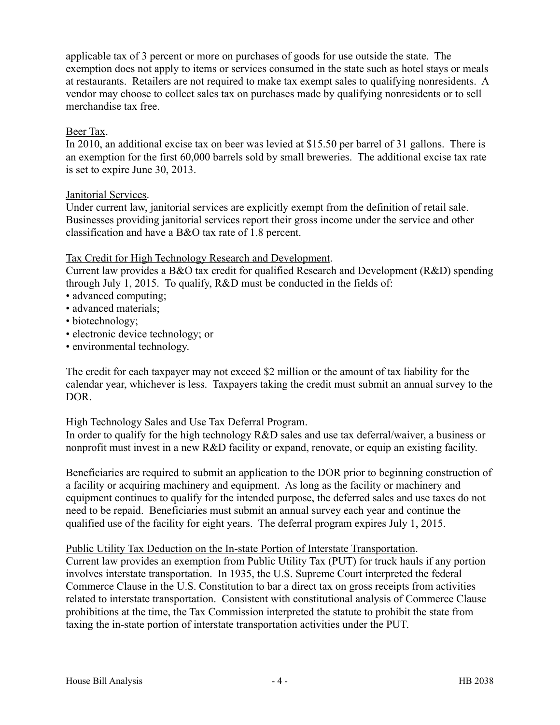applicable tax of 3 percent or more on purchases of goods for use outside the state. The exemption does not apply to items or services consumed in the state such as hotel stays or meals at restaurants. Retailers are not required to make tax exempt sales to qualifying nonresidents. A vendor may choose to collect sales tax on purchases made by qualifying nonresidents or to sell merchandise tax free.

# Beer Tax.

In 2010, an additional excise tax on beer was levied at \$15.50 per barrel of 31 gallons. There is an exemption for the first 60,000 barrels sold by small breweries. The additional excise tax rate is set to expire June 30, 2013.

# Janitorial Services.

Under current law, janitorial services are explicitly exempt from the definition of retail sale. Businesses providing janitorial services report their gross income under the service and other classification and have a B&O tax rate of 1.8 percent.

# Tax Credit for High Technology Research and Development.

Current law provides a B&O tax credit for qualified Research and Development (R&D) spending through July 1, 2015. To qualify, R&D must be conducted in the fields of:

- advanced computing;
- advanced materials;
- biotechnology;
- electronic device technology; or
- environmental technology.

The credit for each taxpayer may not exceed \$2 million or the amount of tax liability for the calendar year, whichever is less. Taxpayers taking the credit must submit an annual survey to the DOR.

#### High Technology Sales and Use Tax Deferral Program.

In order to qualify for the high technology R&D sales and use tax deferral/waiver, a business or nonprofit must invest in a new R&D facility or expand, renovate, or equip an existing facility.

Beneficiaries are required to submit an application to the DOR prior to beginning construction of a facility or acquiring machinery and equipment. As long as the facility or machinery and equipment continues to qualify for the intended purpose, the deferred sales and use taxes do not need to be repaid. Beneficiaries must submit an annual survey each year and continue the qualified use of the facility for eight years. The deferral program expires July 1, 2015.

#### Public Utility Tax Deduction on the In-state Portion of Interstate Transportation.

Current law provides an exemption from Public Utility Tax (PUT) for truck hauls if any portion involves interstate transportation. In 1935, the U.S. Supreme Court interpreted the federal Commerce Clause in the U.S. Constitution to bar a direct tax on gross receipts from activities related to interstate transportation. Consistent with constitutional analysis of Commerce Clause prohibitions at the time, the Tax Commission interpreted the statute to prohibit the state from taxing the in-state portion of interstate transportation activities under the PUT.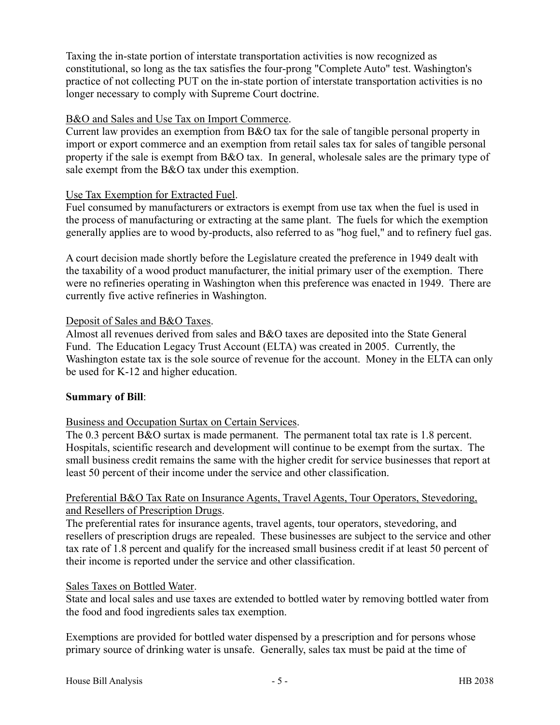Taxing the in-state portion of interstate transportation activities is now recognized as constitutional, so long as the tax satisfies the four-prong "Complete Auto" test. Washington's practice of not collecting PUT on the in-state portion of interstate transportation activities is no longer necessary to comply with Supreme Court doctrine.

# B&O and Sales and Use Tax on Import Commerce.

Current law provides an exemption from B&O tax for the sale of tangible personal property in import or export commerce and an exemption from retail sales tax for sales of tangible personal property if the sale is exempt from B&O tax. In general, wholesale sales are the primary type of sale exempt from the B&O tax under this exemption.

# Use Tax Exemption for Extracted Fuel.

Fuel consumed by manufacturers or extractors is exempt from use tax when the fuel is used in the process of manufacturing or extracting at the same plant. The fuels for which the exemption generally applies are to wood by-products, also referred to as "hog fuel," and to refinery fuel gas.

A court decision made shortly before the Legislature created the preference in 1949 dealt with the taxability of a wood product manufacturer, the initial primary user of the exemption. There were no refineries operating in Washington when this preference was enacted in 1949. There are currently five active refineries in Washington.

#### Deposit of Sales and B&O Taxes.

Almost all revenues derived from sales and B&O taxes are deposited into the State General Fund. The Education Legacy Trust Account (ELTA) was created in 2005. Currently, the Washington estate tax is the sole source of revenue for the account. Money in the ELTA can only be used for K-12 and higher education.

#### **Summary of Bill**:

# Business and Occupation Surtax on Certain Services.

The 0.3 percent B&O surtax is made permanent. The permanent total tax rate is 1.8 percent. Hospitals, scientific research and development will continue to be exempt from the surtax. The small business credit remains the same with the higher credit for service businesses that report at least 50 percent of their income under the service and other classification.

# Preferential B&O Tax Rate on Insurance Agents, Travel Agents, Tour Operators, Stevedoring, and Resellers of Prescription Drugs.

The preferential rates for insurance agents, travel agents, tour operators, stevedoring, and resellers of prescription drugs are repealed. These businesses are subject to the service and other tax rate of 1.8 percent and qualify for the increased small business credit if at least 50 percent of their income is reported under the service and other classification.

#### Sales Taxes on Bottled Water.

State and local sales and use taxes are extended to bottled water by removing bottled water from the food and food ingredients sales tax exemption.

Exemptions are provided for bottled water dispensed by a prescription and for persons whose primary source of drinking water is unsafe. Generally, sales tax must be paid at the time of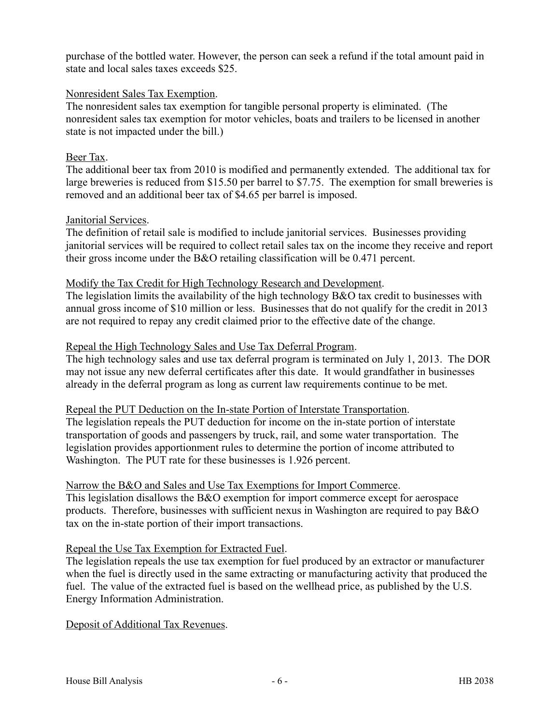purchase of the bottled water. However, the person can seek a refund if the total amount paid in state and local sales taxes exceeds \$25.

# Nonresident Sales Tax Exemption.

The nonresident sales tax exemption for tangible personal property is eliminated. (The nonresident sales tax exemption for motor vehicles, boats and trailers to be licensed in another state is not impacted under the bill.)

# Beer Tax.

The additional beer tax from 2010 is modified and permanently extended. The additional tax for large breweries is reduced from \$15.50 per barrel to \$7.75. The exemption for small breweries is removed and an additional beer tax of \$4.65 per barrel is imposed.

# Janitorial Services.

The definition of retail sale is modified to include janitorial services. Businesses providing janitorial services will be required to collect retail sales tax on the income they receive and report their gross income under the B&O retailing classification will be 0.471 percent.

# Modify the Tax Credit for High Technology Research and Development.

The legislation limits the availability of the high technology B&O tax credit to businesses with annual gross income of \$10 million or less. Businesses that do not qualify for the credit in 2013 are not required to repay any credit claimed prior to the effective date of the change.

# Repeal the High Technology Sales and Use Tax Deferral Program.

The high technology sales and use tax deferral program is terminated on July 1, 2013. The DOR may not issue any new deferral certificates after this date. It would grandfather in businesses already in the deferral program as long as current law requirements continue to be met.

Repeal the PUT Deduction on the In-state Portion of Interstate Transportation. The legislation repeals the PUT deduction for income on the in-state portion of interstate transportation of goods and passengers by truck, rail, and some water transportation. The legislation provides apportionment rules to determine the portion of income attributed to Washington. The PUT rate for these businesses is 1.926 percent.

#### Narrow the B&O and Sales and Use Tax Exemptions for Import Commerce.

This legislation disallows the B&O exemption for import commerce except for aerospace products. Therefore, businesses with sufficient nexus in Washington are required to pay B&O tax on the in-state portion of their import transactions.

# Repeal the Use Tax Exemption for Extracted Fuel.

The legislation repeals the use tax exemption for fuel produced by an extractor or manufacturer when the fuel is directly used in the same extracting or manufacturing activity that produced the fuel. The value of the extracted fuel is based on the wellhead price, as published by the U.S. Energy Information Administration.

#### Deposit of Additional Tax Revenues.